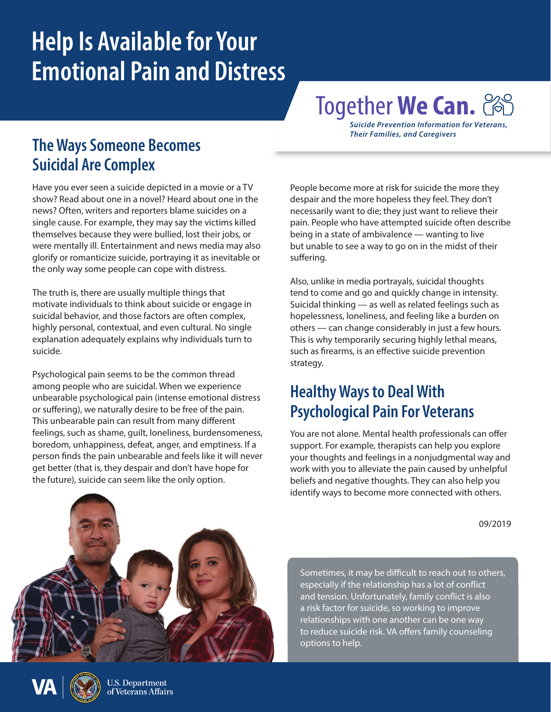## **Help Is Available for Your Emotional Pain and Distress**

# Together **We Can.**

*Suicide Prevention Information for Veterans, Their Families, and Caregivers*

#### **The Ways Someone Becomes Suicidal Are Complex**

Have you ever seen a suicide depicted in a movie or a TV show? Read about one in a novel? Heard about one in the news? Often, writers and reporters blame suicides on a single cause. For example, they may say the victims killed themselves because they were bullied, lost their jobs, or were mentally ill. Entertainment and news media may also glorify or romanticize suicide, portraying it as inevitable or the only way some people can cope with distress.

The truth is, there are usually multiple things that motivate individuals to think about suicide or engage in suicidal behavior, and those factors are often complex, highly personal, contextual, and even cultural. No single explanation adequately explains why individuals turn to suicide.

Psychological pain seems to be the common thread among people who are suicidal. When we experience unbearable psychological pain (intense emotional distress or suffering), we naturally desire to be free of the pain. This unbearable pain can result from many different feelings, such as shame, guilt, loneliness, burdensomeness, boredom, unhappiness, defeat, anger, and emptiness. If a person finds the pain unbearable and feels like it will never get better (that is, they despair and don't have hope for the future), suicide can seem like the only option.

People become more at risk for suicide the more they despair and the more hopeless they feel. They don't necessarily want to die; they just want to relieve their pain. People who have attempted suicide often describe being in a state of ambivalence — wanting to live but unable to see a way to go on in the midst of their suffering.

Also, unlike in media portrayals, suicidal thoughts tend to come and go and quickly change in intensity. Suicidal thinking — as well as related feelings such as hopelessness, loneliness, and feeling like a burden on others — can change considerably in just a few hours. This is why temporarily securing highly lethal means, such as firearms, is an effective suicide prevention strategy.

#### **Healthy Ways to Deal With Psychological Pain For Veterans**

You are not alone. Mental health professionals can offer support. For example, therapists can help you explore your thoughts and feelings in a nonjudgmental way and work with you to alleviate the pain caused by unhelpful beliefs and negative thoughts. They can also help you identify ways to become more connected with others.

09/2019



Sometimes, it may be difficult to reach out to others, especially if the relationship has a lot of conflict and tension. Unfortunately, family conflict is also a risk factor for suicide, so working to improve relationships with one another can be one way to reduce suicide risk. VA offers family counseling options to help.

U.S. Department of Veterans Affairs